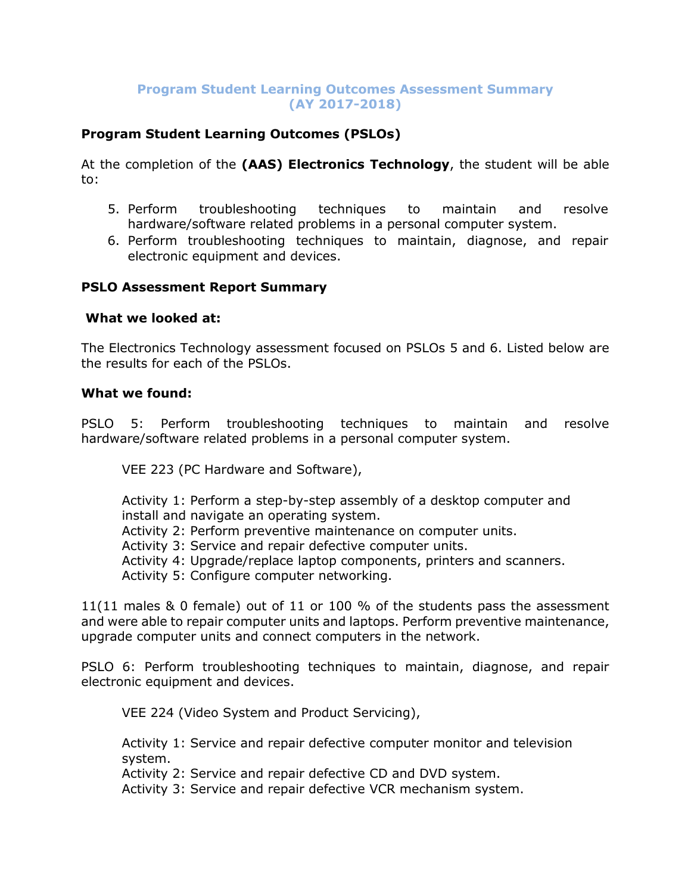### **Program Student Learning Outcomes Assessment Summary (AY 2017-2018)**

# **Program Student Learning Outcomes (PSLOs)**

At the completion of the **(AAS) Electronics Technology**, the student will be able to:

- 5. Perform troubleshooting techniques to maintain and resolve hardware/software related problems in a personal computer system.
- 6. Perform troubleshooting techniques to maintain, diagnose, and repair electronic equipment and devices.

### **PSLO Assessment Report Summary**

#### **What we looked at:**

The Electronics Technology assessment focused on PSLOs 5 and 6. Listed below are the results for each of the PSLOs.

#### **What we found:**

PSLO 5: Perform troubleshooting techniques to maintain and resolve hardware/software related problems in a personal computer system.

VEE 223 (PC Hardware and Software),

Activity 1: Perform a step-by-step assembly of a desktop computer and install and navigate an operating system.

- Activity 2: Perform preventive maintenance on computer units.
- Activity 3: Service and repair defective computer units.
- Activity 4: Upgrade/replace laptop components, printers and scanners.

Activity 5: Configure computer networking.

11(11 males & 0 female) out of 11 or 100 % of the students pass the assessment and were able to repair computer units and laptops. Perform preventive maintenance, upgrade computer units and connect computers in the network.

PSLO 6: Perform troubleshooting techniques to maintain, diagnose, and repair electronic equipment and devices.

VEE 224 (Video System and Product Servicing),

Activity 1: Service and repair defective computer monitor and television system.

Activity 2: Service and repair defective CD and DVD system.

Activity 3: Service and repair defective VCR mechanism system.